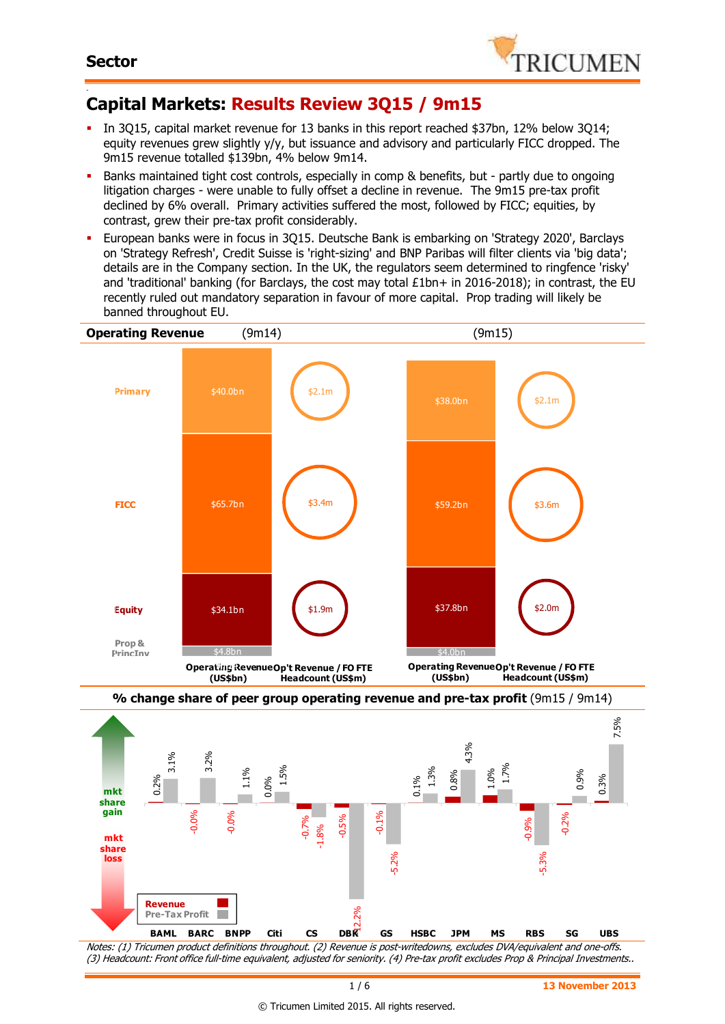

#### - **Capital Markets: Results Review 3Q15 / 9m15**

- In 3Q15, capital market revenue for 13 banks in this report reached \$37bn, 12% below 3Q14; equity revenues grew slightly y/y, but issuance and advisory and particularly FICC dropped. The 9m15 revenue totalled \$139bn, 4% below 9m14.
- Banks maintained tight cost controls, especially in comp & benefits, but partly due to ongoing litigation charges - were unable to fully offset a decline in revenue. The 9m15 pre-tax profit declined by 6% overall. Primary activities suffered the most, followed by FICC; equities, by contrast, grew their pre-tax profit considerably.
- European banks were in focus in 3Q15. Deutsche Bank is embarking on 'Strategy 2020', Barclays on 'Strategy Refresh', Credit Suisse is 'right-sizing' and BNP Paribas will filter clients via 'big data'; details are in the Company section. In the UK, the regulators seem determined to ringfence 'risky' and 'traditional' banking (for Barclays, the cost may total  $£1bn+$  in 2016-2018); in contrast, the EU recently ruled out mandatory separation in favour of more capital. Prop trading will likely be banned throughout EU.



Notes: (1) Tricumen product definitions throughout. (2) Revenue is post-writedowns, excludes DVA/equivalent and one-offs. (3) Headcount: Front office full-time equivalent, adjusted for seniority. (4) Pre-tax profit excludes Prop & Principal Investments..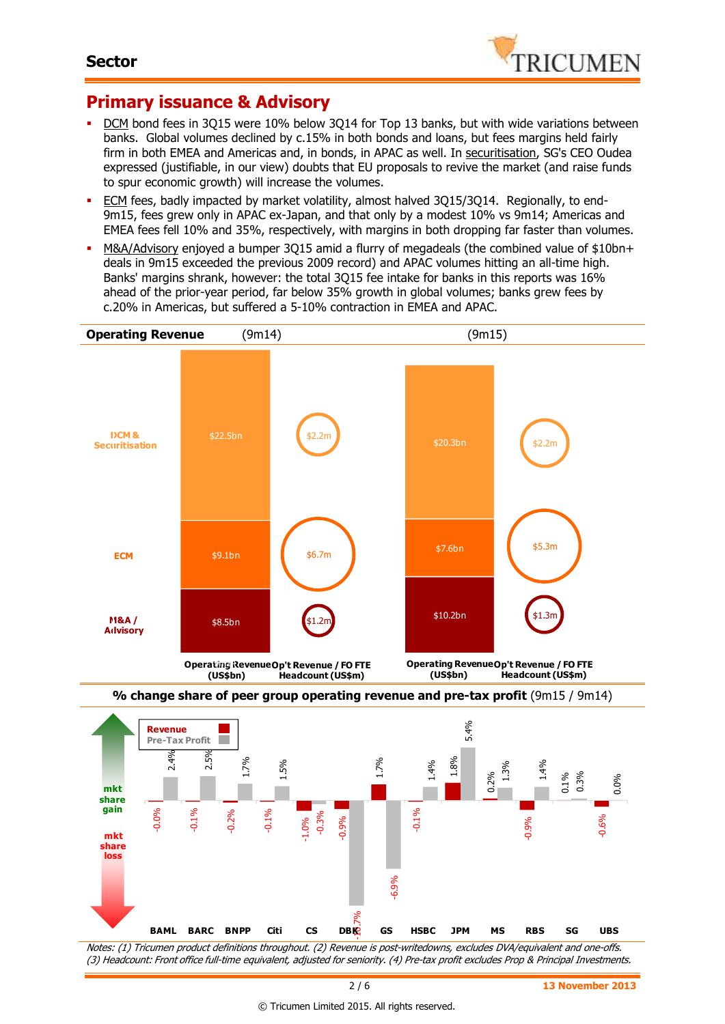-0.12



## **Primary issuance & Advisory**

- DCM bond fees in 3Q15 were 10% below 3Q14 for Top 13 banks, but with wide variations between banks. Global volumes declined by c.15% in both bonds and loans, but fees margins held fairly firm in both EMEA and Americas and, in bonds, in APAC as well. In securitisation, SG's CEO Oudea expressed (justifiable, in our view) doubts that EU proposals to revive the market (and raise funds to spur economic growth) will increase the volumes.
- ECM fees, badly impacted by market volatility, almost halved 3Q15/3Q14. Regionally, to end-9m15, fees grew only in APAC ex-Japan, and that only by a modest 10% vs 9m14; Americas and EMEA fees fell 10% and 35%, respectively, with margins in both dropping far faster than volumes.
- M&A/Advisory enjoyed a bumper 3Q15 amid a flurry of megadeals (the combined value of \$10bn+ deals in 9m15 exceeded the previous 2009 record) and APAC volumes hitting an all-time high. Banks' margins shrank, however: the total 3Q15 fee intake for banks in this reports was 16% ahead of the prior-year period, far below 35% growth in global volumes; banks grew fees by c.20% in Americas, but suffered a 5-10% contraction in EMEA and APAC.



Notes: (1) Tricumen product definitions throughout. (2) Revenue is post-writedowns, excludes DVA/equivalent and one-offs. (3) Headcount: Front office full-time equivalent, adjusted for seniority. (4) Pre-tax profit excludes Prop & Principal Investments.

**BAML BARC BNPP Citi CS DBK GS HSBC JPM MS RBS SG UBS**

DB<sub>E</sub>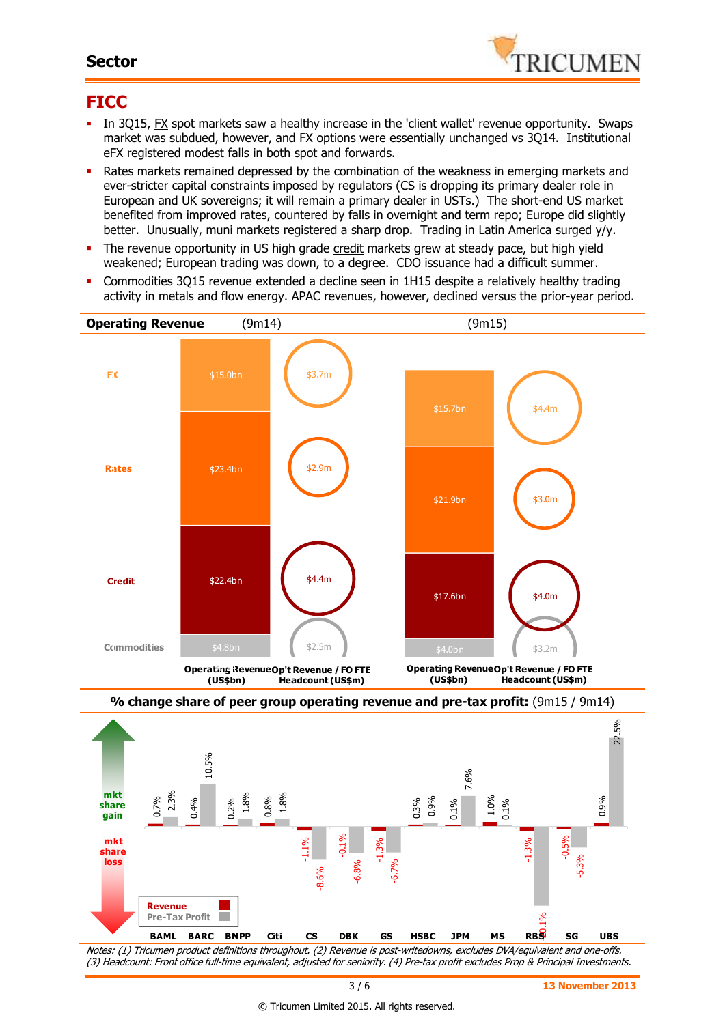### **Sector**



# **FICC**

- In 3Q15, FX spot markets saw a healthy increase in the 'client wallet' revenue opportunity. Swaps market was subdued, however, and FX options were essentially unchanged vs 3Q14. Institutional eFX registered modest falls in both spot and forwards.
- Rates markets remained depressed by the combination of the weakness in emerging markets and ever-stricter capital constraints imposed by regulators (CS is dropping its primary dealer role in European and UK sovereigns; it will remain a primary dealer in USTs.) The short-end US market benefited from improved rates, countered by falls in overnight and term repo; Europe did slightly better. Unusually, muni markets registered a sharp drop. Trading in Latin America surged y/y.
- The revenue opportunity in US high grade credit markets grew at steady pace, but high yield weakened; European trading was down, to a degree. CDO issuance had a difficult summer.
- Commodities 3Q15 revenue extended a decline seen in 1H15 despite a relatively healthy trading activity in metals and flow energy. APAC revenues, however, declined versus the prior-year period.



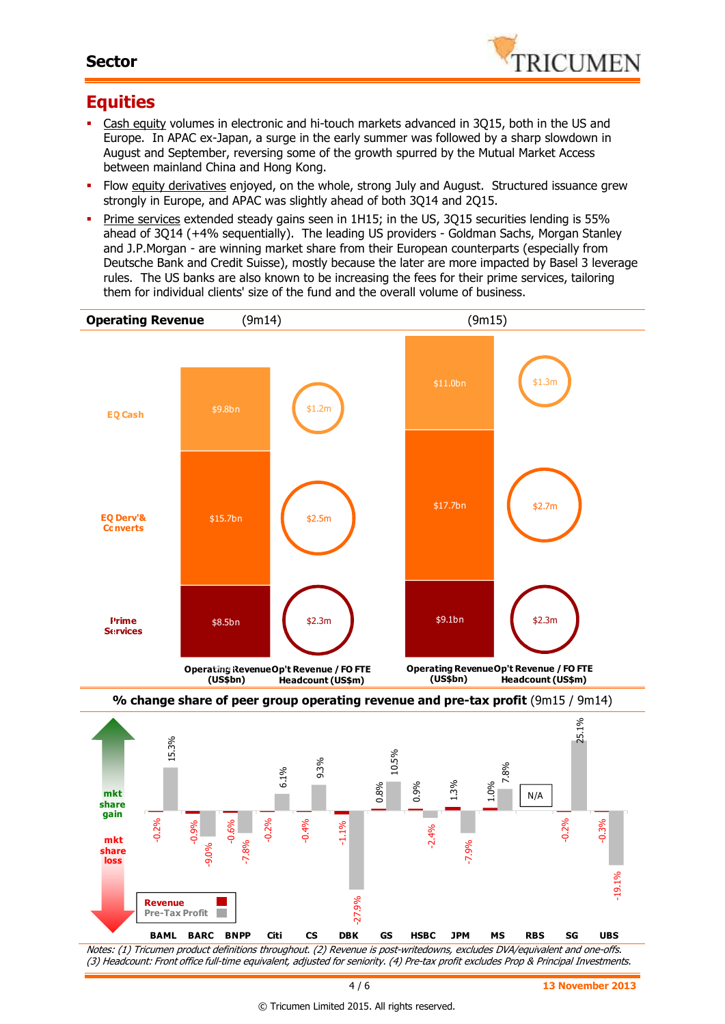### **Sector**



# **Equities**

- Cash equity volumes in electronic and hi-touch markets advanced in 3Q15, both in the US and Europe. In APAC ex-Japan, a surge in the early summer was followed by a sharp slowdown in August and September, reversing some of the growth spurred by the Mutual Market Access between mainland China and Hong Kong.
- **FILOW** Equity derivatives enjoyed, on the whole, strong July and August. Structured issuance grew strongly in Europe, and APAC was slightly ahead of both 3Q14 and 2Q15.
- Prime services extended steady gains seen in 1H15; in the US, 3Q15 securities lending is 55% ahead of 3Q14 (+4% sequentially). The leading US providers - Goldman Sachs, Morgan Stanley and J.P.Morgan - are winning market share from their European counterparts (especially from Deutsche Bank and Credit Suisse), mostly because the later are more impacted by Basel 3 leverage rules. The US banks are also known to be increasing the fees for their prime services, tailoring them for individual clients' size of the fund and the overall volume of business.



(3) Headcount: Front office full-time equivalent, adjusted for seniority. (4) Pre-tax profit excludes Prop & Principal Investments.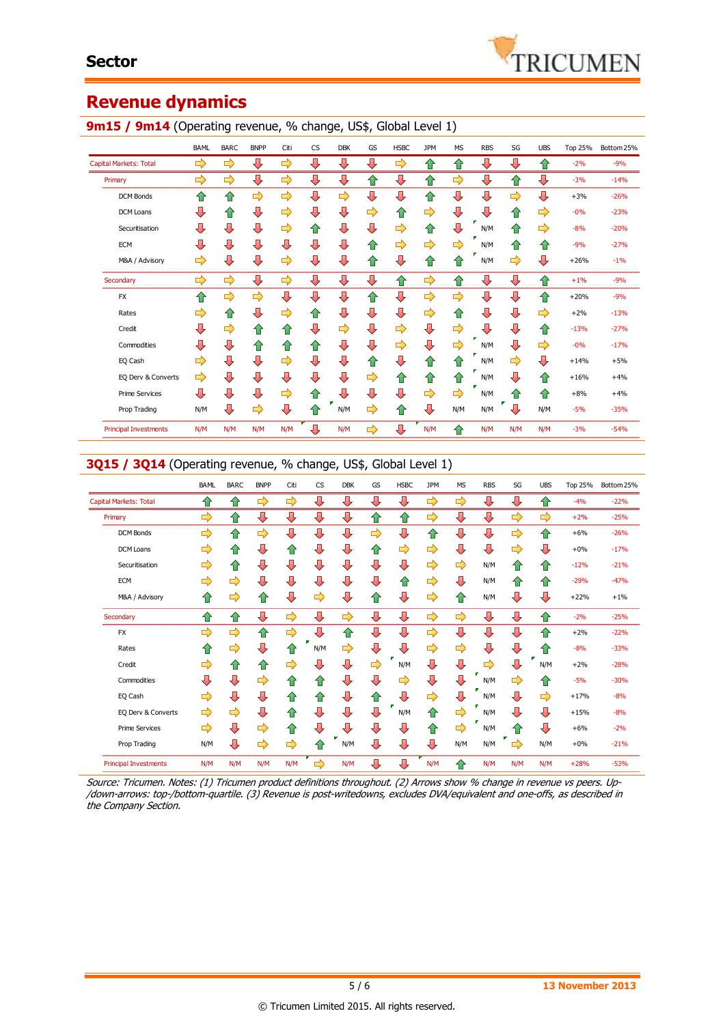# **Revenue dynamics**

|                               | BAML | <b>BARC</b> | <b>BNPP</b>   | Citi          | <b>CS</b>               | <b>DBK</b> | GS | <b>HSBC</b> | <b>JPM</b>    | <b>MS</b> | <b>RBS</b> | SG                 | <b>UBS</b> | Top 25% | Bottom 25% |
|-------------------------------|------|-------------|---------------|---------------|-------------------------|------------|----|-------------|---------------|-----------|------------|--------------------|------------|---------|------------|
| <b>Capital Markets: Total</b> | ⇨    | ⇨           | ⇩             | ⇨             | ⊕                       | ⊕          | ⇩  | ⇨           | 슙             | ⇧         | ⇩          | ⊕                  | ⇮          | $-2%$   | $-9%$      |
| Primary                       | ⇨    | ⇨           | ⇩             | ⇨             | ⊕                       | ⇩          | ⇧  | ⊕           | 合             | ⇨         | ⇩          | 合                  | ⊕          | $-3%$   | $-14%$     |
| <b>DCM Bonds</b>              | ✿    | ⇧           | ⇨             | $\Rightarrow$ | ⊕                       | ⇨          | ⊕  | ⇩           | ⇧             | ⊕         | ⇩          | ⇨                  | ⊕          | $+3%$   | $-26%$     |
| <b>DCM Loans</b>              | ⇩    | ⇧           | ⇩             | ⇨             | ⊕                       | ⇩          | ⇨  | 合           | ⇨             | ⊕         | ⊕          | ⇧                  | ⇨          | $-0%$   | $-23%$     |
| Securitisation                | ⊕    | ⊕           | ⇩             | ⇨             | ⇮                       | ⇩          | ⊕  | ⇨           | ⇧             | ⊕         | N/M        | ✿                  | ⇨          | $-8%$   | $-20%$     |
| <b>ECM</b>                    | ⊕    | ⊕           | ⇩             | ⇩             | $\overline{\mathbf{u}}$ | ⇩          | ⇮  | ⇨           | ⇨             | ⇨         | N/M        | ⇮                  | ⇧          | $-9%$   | $-27%$     |
| M&A / Advisory                | ⇨    | ⊕           | ⇩             | ⇨             | ⊕                       | ⇩          | ⇧  | ⇩           | 合             | 企         | N/M        | ⇨                  | ⇩          | $+26%$  | $-1%$      |
| Secondary                     | ⇨    | ⇨           | ⊕             | ⇨             | ⊕                       | ⇩          | ⊕  | ⇧           | ⇨             | 企         | ⇩          | ⊕                  | ⇧          | $+1%$   | $-9%$      |
| <b>FX</b>                     | ⇑    | ⇨           | $\Rightarrow$ | ⊕             | ⊕                       | ⊕          | ⇧  | ⊕           | $\Rightarrow$ | ⇨         | ⇩          | ⊕                  | ⇧          | $+20%$  | $-9%$      |
| Rates                         | ⇨    | ⇑           | ⇩             | ⇨             | ⇧                       | ⇩          | ⊕  | ⊕           | ⇨             | ⇧         | ⇩          | ⊕                  | ⇨          | $+2%$   | $-13%$     |
| Credit                        | ⊕    | ⇨           | ⇧             | 企             | ⇩                       | ⇨          | ⊕  | ⇨           | ⇩             | ⇨         | ⇩          | ⊕                  | ⇧          | $-13%$  | $-27%$     |
| Commodities                   | ⇩    | ⊕           | ⇧             | 仆             | ⇮                       | ⇩          | ⊕  | ⇨           | ⇩             | ⇨         | N/M        | ⊕                  | ⇨          | $-0%$   | $-17%$     |
| EQ Cash                       | ⇨    | ⇩           | ⇩             | ⇨             | ⊕                       | ⇩          | ⇧  | ⊕           | 슙             | 企         | N/M        | ⇨                  | ⊕          | $+14%$  | $+5%$      |
| EQ Derv & Converts            | ⇨    | ⊕           | ⊕             | ⊕             | ⊕                       | ⇩          | ⇨  | ⇧           | ⇮             | ⇧         | N/M        | ⊕                  | ⇑          | $+16%$  | $+4%$      |
| <b>Prime Services</b>         | ⇩    | J           | ⇩             | ⇨             | ⇧                       | ⊕          | ⊕  | ⇩           | ⇨             | ⇨         | N/M        | $\hat{\mathbf{v}}$ | ⇮          | $+8%$   | $+4%$      |
| Prop Trading                  | N/M  | ⇩           | ⇨             | ⊕             | ⇑                       | N/M        | ⇨  | ⇧           | ⊕             | N/M       | N/M        | ⇩                  | N/M        | $-5%$   | $-35%$     |
| <b>Principal Investments</b>  | N/M  | N/M         | N/M           | N/M           | ⊕                       | N/M        | ⇨  | ⇩           | N/M           | 仐         | N/M        | N/M                | N/M        | $-3%$   | $-54%$     |

#### 9m15 / 9m14 (Operating revenue, % change, US\$, Global Level 1)

### **3Q15 / 3Q14** (Operating revenue, % change, US\$, Global Level 1)

|                               | <b>BAML</b>   | <b>BARC</b> | <b>BNPP</b> | Citi | <b>CS</b>     | <b>DBK</b>    | GS | <b>HSBC</b> | <b>JPM</b> | <b>MS</b> | <b>RBS</b> | SG     | <b>UBS</b> | <b>Top 25%</b> | Bottom 25% |
|-------------------------------|---------------|-------------|-------------|------|---------------|---------------|----|-------------|------------|-----------|------------|--------|------------|----------------|------------|
| <b>Capital Markets: Total</b> | ⇑             | ⇑           | ⇨           | ⇨    | ⊕             | ⊕             | ⊕  | ⇩           | ⇨          | ⇨         | ⊕          | ⊕      | ✿          | $-4%$          | $-22%$     |
| Primary                       | ⇨             | ⇧           | ⊕           | ⊕    | ⊕             | ⊕             | ⇧  | ⇧           | ⇨          | ⊕         | ⇩          | ⇨      | ⇨          | $+2%$          | $-25%$     |
| <b>DCM Bonds</b>              | ⇨             | 企           | ⇨           | ⊕    | ⇩             | ⇩             | ⇨  | ⇩           | ⇧          | ⊕         | ⊕          | ⇨      | ⇑          | $+6%$          | $-26%$     |
| <b>DCM Loans</b>              | ⇨             | ⇮           | ⇩           | ⇑    | ⊕             | ⇩             | ⇮  | ⇨           | ⇨          | ⊕         | ⊕          | ⇨      | ⊕          | $+0%$          | $-17%$     |
| Securitisation                | ⇨             | ⇧           | ⇩           | ⊕    | ⊕             | ⇩             | ⊕  | ⇩           | ⇨          | ⇨         | N/M        | ⇧      | ⇑          | $-12%$         | $-21%$     |
| <b>ECM</b>                    | ⇨             | ⇨           | ⇩           | ⊕    | ⊕             | ⇩             | ⇩  | ⇧           | ⇨          | ⇩         | N/M        | 仐      | ⇑          | $-29%$         | $-47%$     |
| M&A / Advisory                | ⇑             | ⇨           | ⇧           | ⊕    | ⇨             | ⊕             | ⇑  | ⇩           | ⇨          | ⇧         | N/M        | ⇩      | ⊕          | $+22%$         | $+1%$      |
| Secondary                     | ⇑             | ⇑           | ⊕           | ⇨    | ⊕             | $\Rightarrow$ | ⊕  | ⊕           | ⇨          | ⇨         | ⊕          | ⊕      | ⇑          | $-2%$          | $-25%$     |
| <b>FX</b>                     | ⇨             | ⇨           | ✿           | ⇨    | ⊕             | ⇑             | ⊕  | ⊕           | ⇨          | ⊕         | ⊕          | ⊕      | ⇑          | $+2%$          | $-22%$     |
| Rates                         | ⇑             | ⇨           | ⇩           | ⇑    | N/M           | ⇨             | ⇩  | ⇩           | ⇨          | ⇨         | ⇩          | ⇩      | ⇑          | $-8%$          | $-33%$     |
| Credit                        | ⇨             | ⇧           | ⇧           | ⇨    | ⇩             | ⊕             | ⇨  | N/M         | ⇩          | ⇩         | ⇨          | ⊕      | N/M        | $+2%$          | $-28%$     |
| Commodities                   | ⊕             | ⊕           | ⇨           | ⇑    | ⇑             | ⇩             | ⊕  | ⇨           | ⇩          | ⇩         | a.<br>N/M  | ⇨      | ⇑          | $-5%$          | $-30%$     |
| EQ Cash                       | ⇨             | ⊕           | ⇩           | ⇑    | 仆             | ⊕             | ⇧  | ⇩           | ⇨          | ⇩         | N/M        | ⇩      | ⇨          | $+17%$         | $-8%$      |
| EQ Derv & Converts            | $\Rightarrow$ | ⇨           | ⇩           | ⇑    | ⇩             | ⇩             | ⊕  | N/M         | ⇧          | ⇨         | N/M        | ⊕      | ⊕          | $+15%$         | $-8%$      |
| <b>Prime Services</b>         | ⇨             | ⊕           | ⇨           | ✿    | ⊕             | ⊕             | ⊕  | ⇩           | ⇧          | ⇨         | N/M        | ⇑      | ⊕          | $+6%$          | $-2%$      |
| Prop Trading                  | N/M           | ⊕           | ⇨           | ⇨    | 仆             | N/M           | ⇩  | ⇩           | ⇩          | N/M       | N/M        | ×<br>⇨ | N/M        | $+0%$          | $-21%$     |
| <b>Principal Investments</b>  | N/M           | N/M         | N/M         | N/M  | $\Rightarrow$ | N/M           | ⊕  | ⊕           | N/M        | ⇑         | N/M        | N/M    | N/M        | $+28%$         | $-53%$     |

Source: Tricumen. Notes: (1) Tricumen product definitions throughout. (2) Arrows show % change in revenue vs peers. Up- /down-arrows: top-/bottom-quartile. (3) Revenue is post-writedowns, excludes DVA/equivalent and one-offs, as described in the Company Section.